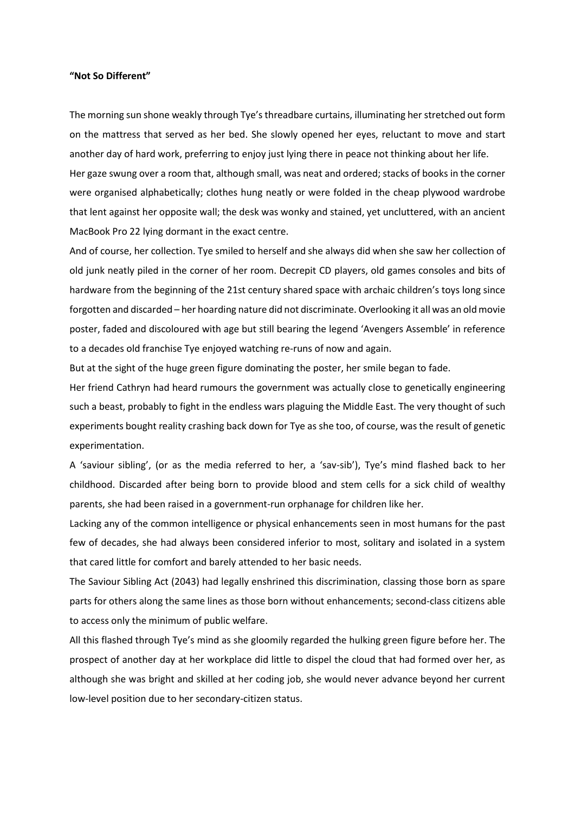## **"Not So Different"**

The morning sun shone weakly through Tye's threadbare curtains, illuminating her stretched out form on the mattress that served as her bed. She slowly opened her eyes, reluctant to move and start another day of hard work, preferring to enjoy just lying there in peace not thinking about her life. Her gaze swung over a room that, although small, was neat and ordered; stacks of books in the corner were organised alphabetically; clothes hung neatly or were folded in the cheap plywood wardrobe that lent against her opposite wall; the desk was wonky and stained, yet uncluttered, with an ancient MacBook Pro 22 lying dormant in the exact centre.

And of course, her collection. Tye smiled to herself and she always did when she saw her collection of old junk neatly piled in the corner of her room. Decrepit CD players, old games consoles and bits of hardware from the beginning of the 21st century shared space with archaic children's toys long since forgotten and discarded – her hoarding nature did not discriminate. Overlooking it all was an old movie poster, faded and discoloured with age but still bearing the legend 'Avengers Assemble' in reference to a decades old franchise Tye enjoyed watching re-runs of now and again.

But at the sight of the huge green figure dominating the poster, her smile began to fade.

Her friend Cathryn had heard rumours the government was actually close to genetically engineering such a beast, probably to fight in the endless wars plaguing the Middle East. The very thought of such experiments bought reality crashing back down for Tye as she too, of course, was the result of genetic experimentation.

A 'saviour sibling', (or as the media referred to her, a 'sav-sib'), Tye's mind flashed back to her childhood. Discarded after being born to provide blood and stem cells for a sick child of wealthy parents, she had been raised in a government-run orphanage for children like her.

Lacking any of the common intelligence or physical enhancements seen in most humans for the past few of decades, she had always been considered inferior to most, solitary and isolated in a system that cared little for comfort and barely attended to her basic needs.

The Saviour Sibling Act (2043) had legally enshrined this discrimination, classing those born as spare parts for others along the same lines as those born without enhancements; second-class citizens able to access only the minimum of public welfare.

All this flashed through Tye's mind as she gloomily regarded the hulking green figure before her. The prospect of another day at her workplace did little to dispel the cloud that had formed over her, as although she was bright and skilled at her coding job, she would never advance beyond her current low-level position due to her secondary-citizen status.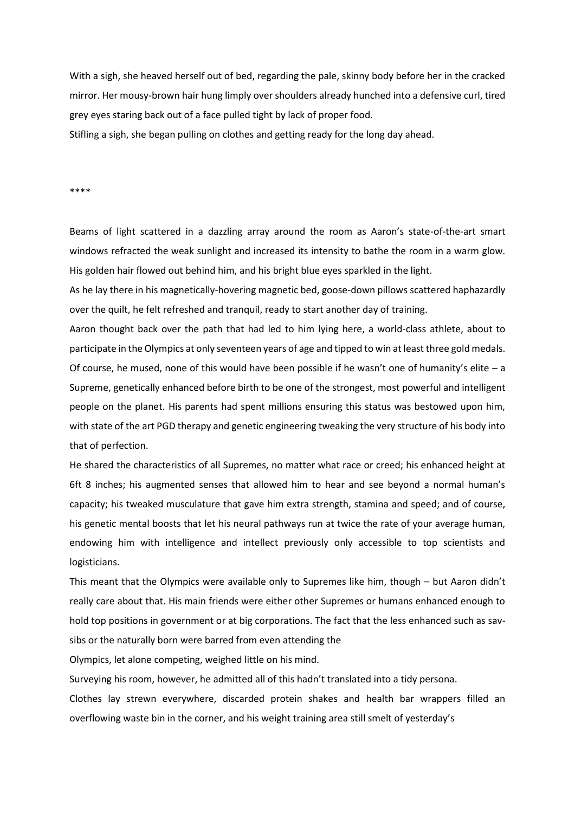With a sigh, she heaved herself out of bed, regarding the pale, skinny body before her in the cracked mirror. Her mousy-brown hair hung limply over shoulders already hunched into a defensive curl, tired grey eyes staring back out of a face pulled tight by lack of proper food. Stifling a sigh, she began pulling on clothes and getting ready for the long day ahead.

\*\*\*\*

Beams of light scattered in a dazzling array around the room as Aaron's state-of-the-art smart windows refracted the weak sunlight and increased its intensity to bathe the room in a warm glow. His golden hair flowed out behind him, and his bright blue eyes sparkled in the light.

As he lay there in his magnetically-hovering magnetic bed, goose-down pillows scattered haphazardly over the quilt, he felt refreshed and tranquil, ready to start another day of training.

Aaron thought back over the path that had led to him lying here, a world-class athlete, about to participate in the Olympics at only seventeen years of age and tipped to win at least three gold medals. Of course, he mused, none of this would have been possible if he wasn't one of humanity's elite – a Supreme, genetically enhanced before birth to be one of the strongest, most powerful and intelligent people on the planet. His parents had spent millions ensuring this status was bestowed upon him, with state of the art PGD therapy and genetic engineering tweaking the very structure of his body into that of perfection.

He shared the characteristics of all Supremes, no matter what race or creed; his enhanced height at 6ft 8 inches; his augmented senses that allowed him to hear and see beyond a normal human's capacity; his tweaked musculature that gave him extra strength, stamina and speed; and of course, his genetic mental boosts that let his neural pathways run at twice the rate of your average human, endowing him with intelligence and intellect previously only accessible to top scientists and logisticians.

This meant that the Olympics were available only to Supremes like him, though – but Aaron didn't really care about that. His main friends were either other Supremes or humans enhanced enough to hold top positions in government or at big corporations. The fact that the less enhanced such as savsibs or the naturally born were barred from even attending the

Olympics, let alone competing, weighed little on his mind.

Surveying his room, however, he admitted all of this hadn't translated into a tidy persona.

Clothes lay strewn everywhere, discarded protein shakes and health bar wrappers filled an overflowing waste bin in the corner, and his weight training area still smelt of yesterday's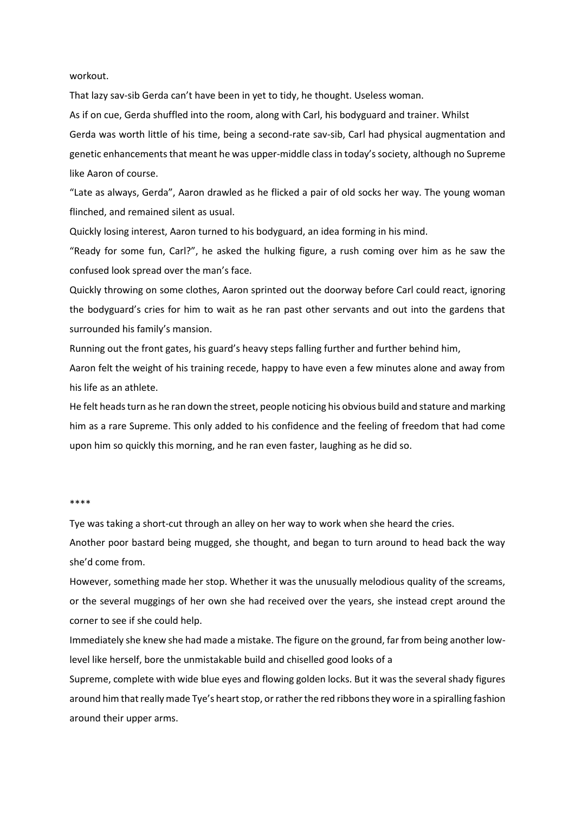workout.

That lazy sav-sib Gerda can't have been in yet to tidy, he thought. Useless woman.

As if on cue, Gerda shuffled into the room, along with Carl, his bodyguard and trainer. Whilst

Gerda was worth little of his time, being a second-rate sav-sib, Carl had physical augmentation and genetic enhancements that meant he was upper-middle class in today's society, although no Supreme like Aaron of course.

"Late as always, Gerda", Aaron drawled as he flicked a pair of old socks her way. The young woman flinched, and remained silent as usual.

Quickly losing interest, Aaron turned to his bodyguard, an idea forming in his mind.

"Ready for some fun, Carl?", he asked the hulking figure, a rush coming over him as he saw the confused look spread over the man's face.

Quickly throwing on some clothes, Aaron sprinted out the doorway before Carl could react, ignoring the bodyguard's cries for him to wait as he ran past other servants and out into the gardens that surrounded his family's mansion.

Running out the front gates, his guard's heavy steps falling further and further behind him,

Aaron felt the weight of his training recede, happy to have even a few minutes alone and away from his life as an athlete.

He felt heads turn as he ran down the street, people noticing his obvious build and stature and marking him as a rare Supreme. This only added to his confidence and the feeling of freedom that had come upon him so quickly this morning, and he ran even faster, laughing as he did so.

## \*\*\*\*

Tye was taking a short-cut through an alley on her way to work when she heard the cries.

Another poor bastard being mugged, she thought, and began to turn around to head back the way she'd come from.

However, something made her stop. Whether it was the unusually melodious quality of the screams, or the several muggings of her own she had received over the years, she instead crept around the corner to see if she could help.

Immediately she knew she had made a mistake. The figure on the ground, far from being another lowlevel like herself, bore the unmistakable build and chiselled good looks of a

Supreme, complete with wide blue eyes and flowing golden locks. But it was the several shady figures around him that really made Tye's heart stop, or rather the red ribbons they wore in a spiralling fashion around their upper arms.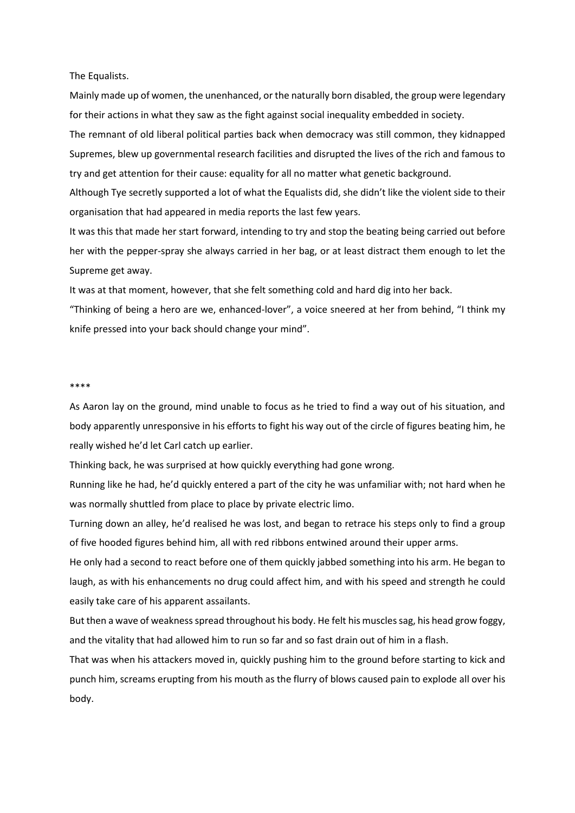The Equalists.

Mainly made up of women, the unenhanced, or the naturally born disabled, the group were legendary for their actions in what they saw as the fight against social inequality embedded in society.

The remnant of old liberal political parties back when democracy was still common, they kidnapped Supremes, blew up governmental research facilities and disrupted the lives of the rich and famous to try and get attention for their cause: equality for all no matter what genetic background.

Although Tye secretly supported a lot of what the Equalists did, she didn't like the violent side to their organisation that had appeared in media reports the last few years.

It was this that made her start forward, intending to try and stop the beating being carried out before her with the pepper-spray she always carried in her bag, or at least distract them enough to let the Supreme get away.

It was at that moment, however, that she felt something cold and hard dig into her back.

"Thinking of being a hero are we, enhanced-lover", a voice sneered at her from behind, "I think my knife pressed into your back should change your mind".

## \*\*\*\*

As Aaron lay on the ground, mind unable to focus as he tried to find a way out of his situation, and body apparently unresponsive in his efforts to fight his way out of the circle of figures beating him, he really wished he'd let Carl catch up earlier.

Thinking back, he was surprised at how quickly everything had gone wrong.

Running like he had, he'd quickly entered a part of the city he was unfamiliar with; not hard when he was normally shuttled from place to place by private electric limo.

Turning down an alley, he'd realised he was lost, and began to retrace his steps only to find a group of five hooded figures behind him, all with red ribbons entwined around their upper arms.

He only had a second to react before one of them quickly jabbed something into his arm. He began to laugh, as with his enhancements no drug could affect him, and with his speed and strength he could easily take care of his apparent assailants.

But then a wave of weakness spread throughout his body. He felt his muscles sag, his head grow foggy, and the vitality that had allowed him to run so far and so fast drain out of him in a flash.

That was when his attackers moved in, quickly pushing him to the ground before starting to kick and punch him, screams erupting from his mouth as the flurry of blows caused pain to explode all over his body.